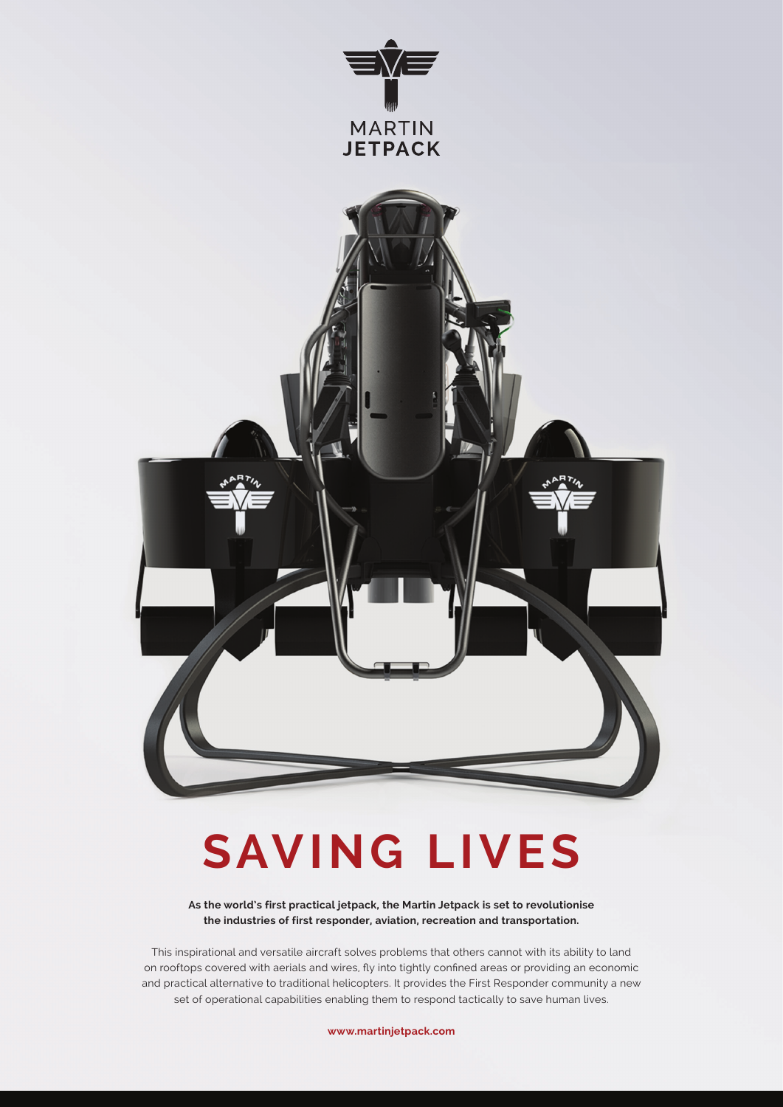

# **SAVING LIVES**

**As the world's first practical jetpack, the Martin Jetpack is set to revolutionise the industries of first responder, aviation, recreation and transportation.** 

This inspirational and versatile aircraft solves problems that others cannot with its ability to land on rooftops covered with aerials and wires, fly into tightly confined areas or providing an economic and practical alternative to traditional helicopters. It provides the First Responder community a new set of operational capabilities enabling them to respond tactically to save human lives.

**www.martinjetpack.com**